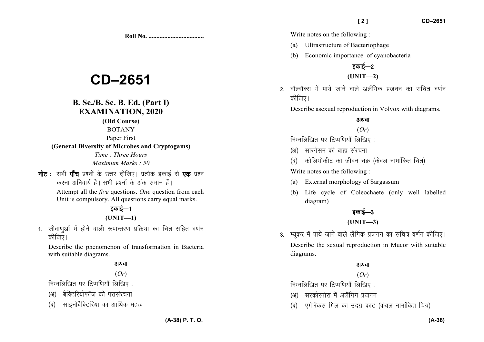**Roll No. ...................................** 

# **CD–2651**

### **B. Sc./B. Sc. B. Ed. (Part I)EXAMINATION, 2020**

**(Old Course)** 

BOTANY

Paper First

#### **(General Diversity of Microbes and Cryptogams)**

*Time : Three Hours Maximum Marks : 50*

**नोट** : सभी **पाँच** प्रश्नों के उत्तर दीजिए। प्रत्येक इकाई से **एक** प्रश्न *djuk vfuok;Z gSA lHkh iz'uksa d¢ vad leku gSaA* 

> Attempt all the *five* questions. *One* question from each Unit is compulsory. All questions carry equal marks.

## *sकाई—1* **(UNIT—1)**

1. जीवाणुओं में होने वाली रूपान्तरण प्रक्रिया का चित्र सहित वर्णन *कीजिए* ।

Describe the phenomenon of transformation in Bacteria with suitable diagrams.

#### अथवा

#### (*Or*)

*fuEufyf[kr ij fVIif.k;k¡ fyf[k, %* 

- *(अ)* बैक्टिरियोफॉज की परासंरचना
- *(*ब) साइनोबैक्टिरिया का आर्थिक महत्व

Write notes on the following :

- (a) Ultrastructure of Bacteriophage
- (b) Economic importance of cyanobacteria

# *zकाई—2*

#### **(UNIT—2)**

*2- okWYokWDl eas ik;s tkus okys vySafxd iztuu dk lfp= o.kZu कीजिए* ।

Describe asexual reproduction in Volvox with diagrams.

#### अथवा

#### (*Or*)

*fuEufyf[kr ij fVIif.k;k¡ fyf[k, %* 

- *(*अ) सारगेसम की बाह्य संरचना
- *(*ब) कोलियोकीट का जीवन चक्र (केवल नामांकित चित्र)

Write notes on the following :

- (a) External morphology of Sargassum
- (b) Life cycle of Coleochaete (only well labelled diagram)

# *bdkbZ*&*<sup>3</sup>*

#### **(UNIT—3)**

3. म्युकर में पाये जाने वाले लैंगिक प्रजनन का सचित्र वर्णन कीजिए। Describe the sexual reproduction in Mucor with suitable diagrams.

#### अथवा

#### (*Or*)

*fuEufyf[kr ij fVIif.k;k¡ fyf[k, %* 

- *(*अ) सरकोस्पोरा में अलैंगिग प्रजनन
- *(*ब) एगेरिकस गिल का उदग्र काट (केवल नामांकित चित्र)